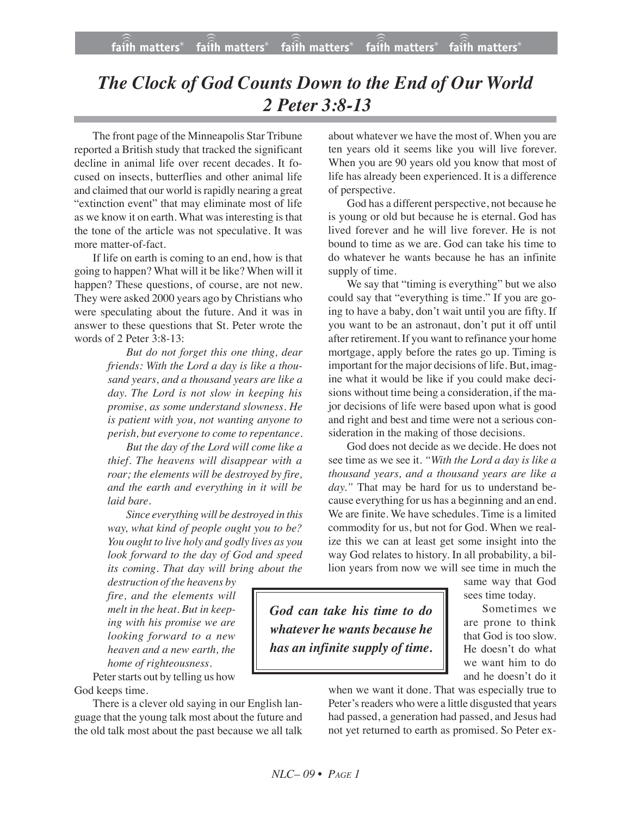## *The Clock of God Counts Down to the End of Our World 2 Peter 3:8-13*

The front page of the Minneapolis Star Tribune reported a British study that tracked the significant decline in animal life over recent decades. It focused on insects, butterflies and other animal life and claimed that our world israpidly nearing a great "extinction event" that may eliminate most of life as we know it on earth. What was interesting is that the tone of the article was not speculative. It was more matter-of-fact.

If life on earth is coming to an end, how is that going to happen? What will it be like? When will it happen? These questions, of course, are not new. They were asked 2000 years ago by Christians who were speculating about the future. And it was in answer to these questions that St. Peter wrote the words of 2 Peter 3:8-13:

> *But do not forget this one thing, dear friends: With the Lord a day is like a thousand years, and a thousand years are like a day. The Lord is not slow in keeping his promise, as some understand slowness. He is patient with you, not wanting anyone to perish, but everyone to come to repentance.*

*But the day of the Lord will come like a thief. The heavens will disappear with a roar; the elements will be destroyed by fire, and the earth and everything in it will be laid bare.*

*Since everythingwill be destroyed in this way, what kind of people ought you to be? You ought to live holy and godly lives as you look forward to the day of God and speed its coming. That day will bring about the*

*destruction of the heavens by fire, and the elements will melt in the heat. But in keeping with his promise we are looking forward to a new heaven and a new earth, the home of righteousness.*

Peter starts out by telling us how God keeps time.

There is a clever old saying in our English language that the young talk most about the future and the old talk most about the past because we all talk about whatever we have the most of. When you are ten years old it seems like you will live forever. When you are 90 years old you know that most of life has already been experienced. It is a difference of perspective.

God has a different perspective, not because he is young or old but because he is eternal. God has lived forever and he will live forever. He is not bound to time as we are. God can take his time to do whatever he wants because he has an infinite supply of time.

We say that "timing is everything" but we also could say that "everything is time." If you are going to have a baby, don't wait until you are fifty. If you want to be an astronaut, don't put it off until after retirement. If you want to refinance your home mortgage, apply before the rates go up. Timing is important for the major decisions of life. But, imagine what it would be like if you could make decisions without time being a consideration, if the major decisions of life were based upon what is good and right and best and time were not a serious consideration in the making of those decisions.

God does not decide as we decide. He does not see time as we see it. *"With the Lord a day is like a thousand years, and a thousand years are like a* day." That may be hard for us to understand because everything for us has a beginning and an end. We are finite. We have schedules. Time is a limited commodity for us, but not for God. When we realize this we can at least get some insight into the way God relates to history. In all probability, a billion years from now we will see time in much the

> same way that God sees time today.

*God can take his time to do whatever he wants because he has an infinite supply of time.*

Sometimes we are prone to think that God is too slow. He doesn't do what we want him to do and he doesn't do it

when we want it done. That was especially true to Peter's readers who were a little disgusted that years had passed, a generation had passed, and Jesus had not yet returned to earth as promised. So Peter ex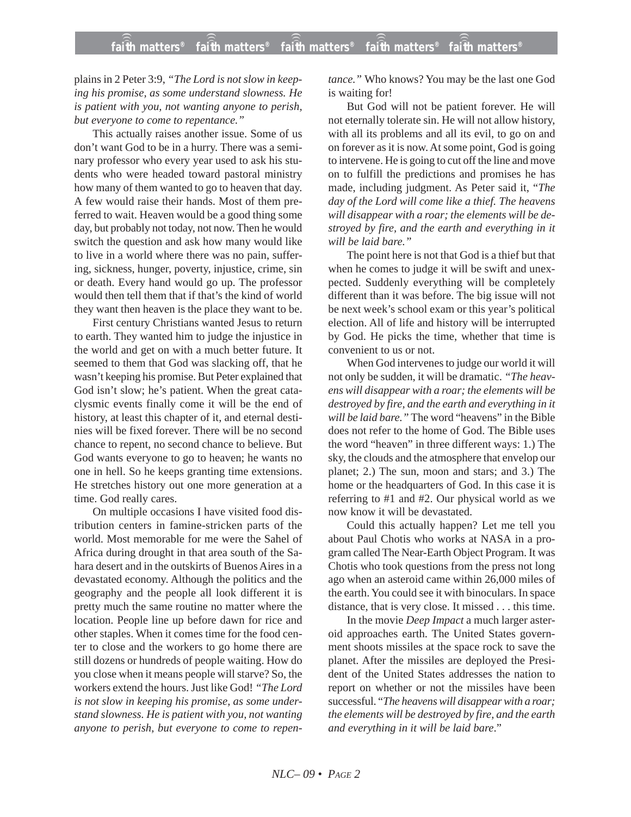plains in 2 Peter 3:9, *"The Lord is not slow in keeping his promise, as some understand slowness. He is patient with you, not wanting anyone to perish, but everyone to come to repentance."*

This actually raises another issue. Some of us don't want God to be in a hurry. There was a seminary professor who every year used to ask his students who were headed toward pastoral ministry how many of them wanted to go to heaven that day. A few would raise their hands. Most of them preferred to wait. Heaven would be a good thing some day, but probably not today, not now. Then he would switch the question and ask how many would like to live in a world where there was no pain, suffering, sickness, hunger, poverty, injustice, crime, sin or death. Every hand would go up. The professor would then tell them that if that's the kind of world they want then heaven is the place they want to be.

First century Christians wanted Jesus to return to earth. They wanted him to judge the injustice in the world and get on with a much better future. It seemed to them that God was slacking off, that he wasn't keeping his promise. But Peter explained that God isn't slow; he's patient. When the great cataclysmic events finally come it will be the end of history, at least this chapter of it, and eternal destinies will be fixed forever. There will be no second chance to repent, no second chance to believe. But God wants everyone to go to heaven; he wants no one in hell. So he keeps granting time extensions. He stretches history out one more generation at a time. God really cares.

On multiple occasions I have visited food distribution centers in famine-stricken parts of the world. Most memorable for me were the Sahel of Africa during drought in that area south of the Sahara desert and in the outskirts of Buenos Aires in a devastated economy. Although the politics and the geography and the people all look different it is pretty much the same routine no matter where the location. People line up before dawn for rice and other staples. When it comes time for the food center to close and the workers to go home there are still dozens or hundreds of people waiting. How do you close when it means people will starve? So, the workers extend the hours. Just like God! *"The Lord is not slow in keeping his promise, as some understand slowness. He is patient with you, not wanting anyone to perish, but everyone to come to repen-* *tance."* Who knows? You may be the last one God is waiting for!

But God will not be patient forever. He will not eternally tolerate sin. He will not allow history, with all its problems and all its evil, to go on and on forever as it is now. At some point, God is going to intervene. He is going to cut off the line and move on to fulfill the predictions and promises he has made, including judgment. As Peter said it, "*The day of the Lord will come like a thief. The heavens will disappear with a roar; the elements will be destroyed by fire, and the earth and everything in it will be laid bare."*

The point here is not that God is a thief but that when he comes to judge it will be swift and unexpected. Suddenly everything will be completely different than it was before. The big issue will not be next week's school exam or this year's political election. All of life and history will be interrupted by God. He picks the time, whether that time is convenient to us or not.

When God intervenes to judge our world it will not only be sudden, it will be dramatic. *"The heavens will disappear with a roar; the elements will be destroyed by fire, and the earth and everything in it will be laid bare."* The word "heavens" in the Bible does not refer to the home of God. The Bible uses the word "heaven" in three different ways: 1.) The sky, the clouds and the atmosphere that envelop our planet; 2.) The sun, moon and stars; and 3.) The home or the headquarters of God. In this case it is referring to #1 and #2. Our physical world as we now know it will be devastated.

Could this actually happen? Let me tell you about Paul Chotis who works at NASA in a program called The Near-Earth Object Program. It was Chotis who took questions from the press not long ago when an asteroid came within 26,000 miles of the earth. You could see it with binoculars. In space distance, that is very close. It missed . . . this time.

In the movie *Deep Impact* a much larger asteroid approaches earth. The United States government shoots missiles at the space rock to save the planet. After the missiles are deployed the President of the United States addresses the nation to report on whether or not the missiles have been successful. "*The heavens will disappear with a roar; the elements will be destroyed by fire, and the earth and everything in it will be laid bare*."